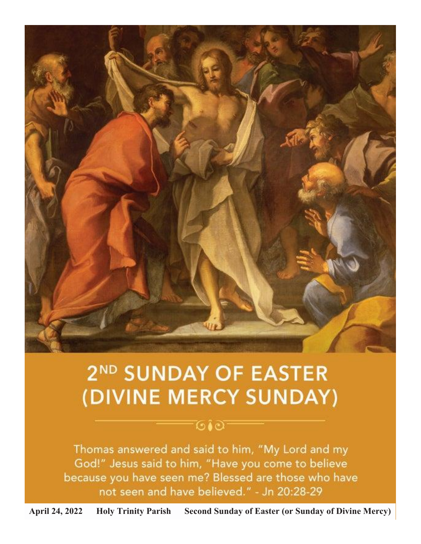

# 2<sup>ND</sup> SUNDAY OF EASTER (DIVINE MERCY SUNDAY)

# ு∙ு

Thomas answered and said to him, "My Lord and my God!" Jesus said to him, "Have you come to believe because you have seen me? Blessed are those who have not seen and have believed." - Jn 20:28-29

**April 24, 2022 Holy Trinity Parish Second Sunday of Easter (or Sunday of Divine Mercy)**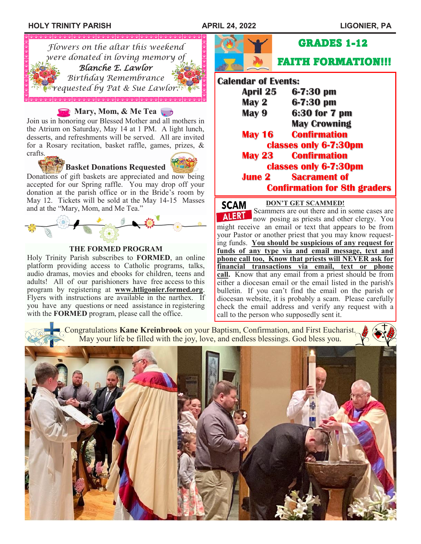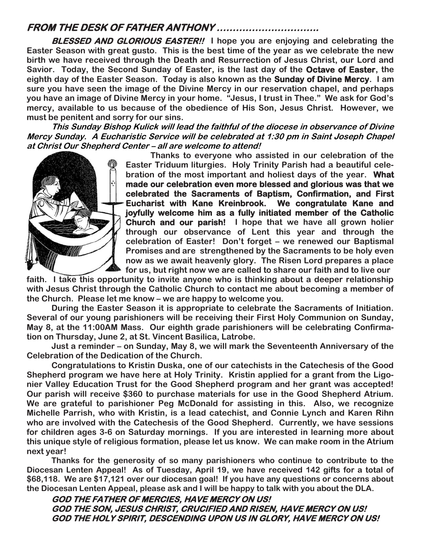# **FROM THE DESK OF FATHER ANTHONY …………………………..**

**BLESSED AND GLORIOUS EASTER!! I hope you are enjoying and celebrating the Easter Season with great gusto. This is the best time of the year as we celebrate the new birth we have received through the Death and Resurrection of Jesus Christ, our Lord and Savior. Today, the Second Sunday of Easter, is the last day of the Octave of Easter, the eighth day of the Easter Season. Today is also known as the Sunday of Divine Mercy. I am sure you have seen the image of the Divine Mercy in our reservation chapel, and perhaps you have an image of Divine Mercy in your home. "Jesus, I trust in Thee." We ask for God's mercy, available to us because of the obedience of His Son, Jesus Christ. However, we must be penitent and sorry for our sins.** 

**This Sunday Bishop Kulick will lead the faithful of the diocese in observance of Divine Mercy Sunday. A Eucharistic Service will be celebrated at 1:30 pm in Saint Joseph Chapel at Christ Our Shepherd Center – all are welcome to attend!**



**Thanks to everyone who assisted in our celebration of the Easter Triduum liturgies. Holy Trinity Parish had a beautiful celebration of the most important and holiest days of the year. What made our celebration even more blessed and glorious was that we celebrated the Sacraments of Baptism, Confirmation, and First Eucharist with Kane Kreinbrook. We congratulate Kane and joyfully welcome him as a fully initiated member of the Catholic Church and our parish! I hope that we have all grown holier through our observance of Lent this year and through the celebration of Easter! Don't forget – we renewed our Baptismal Promises and are strengthened by the Sacraments to be holy even now as we await heavenly glory. The Risen Lord prepares a place for us, but right now we are called to share our faith and to live our**

**faith. I take this opportunity to invite anyone who is thinking about a deeper relationship with Jesus Christ through the Catholic Church to contact me about becoming a member of the Church. Please let me know – we are happy to welcome you.**

**During the Easter Season it is appropriate to celebrate the Sacraments of Initiation. Several of our young parishioners will be receiving their First Holy Communion on Sunday, May 8, at the 11:00AM Mass. Our eighth grade parishioners will be celebrating Confirmation on Thursday, June 2, at St. Vincent Basilica, Latrobe.**

**Just a reminder – on Sunday, May 8, we will mark the Seventeenth Anniversary of the Celebration of the Dedication of the Church.**

**Congratulations to Kristin Duska, one of our catechists in the Catechesis of the Good Shepherd program we have here at Holy Trinity. Kristin applied for a grant from the Ligonier Valley Education Trust for the Good Shepherd program and her grant was accepted! Our parish will receive \$360 to purchase materials for use in the Good Shepherd Atrium. We are grateful to parishioner Peg McDonald for assisting in this. Also, we recognize Michelle Parrish, who with Kristin, is a lead catechist, and Connie Lynch and Karen Rihn who are involved with the Catechesis of the Good Shepherd. Currently, we have sessions for children ages 3-6 on Saturday mornings. If you are interested in learning more about this unique style of religious formation, please let us know. We can make room in the Atrium next year!**

**Thanks for the generosity of so many parishioners who continue to contribute to the Diocesan Lenten Appeal! As of Tuesday, April 19, we have received 142 gifts for a total of \$68,118. We are \$17,121 over our diocesan goal! If you have any questions or concerns about the Diocesan Lenten Appeal, please ask and I will be happy to talk with you about the DLA.**

**GOD THE FATHER OF MERCIES, HAVE MERCY ON US! GOD THE SON, JESUS CHRIST, CRUCIFIED AND RISEN, HAVE MERCY ON US! GOD THE HOLY SPIRIT, DESCENDING UPON US IN GLORY, HAVE MERCY ON US!**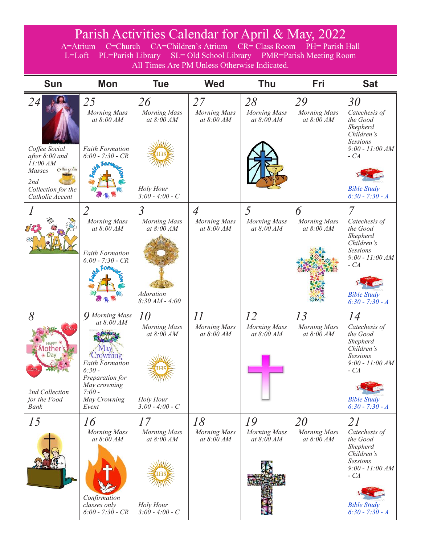# Parish Activities Calendar for April & May, 2022

A=Atrium C=Church CA=Children's Atrium CR= Class Room PH= Parish Hall L=Loft PL=Parish Library SL= Old School Library PMR=Parish Meeting Room All Times Are PM Unless Otherwise Indicated.

| <b>Sun</b>                                                                                                                            | <b>Mon</b>                                                                                                                                                                 | <b>Tue</b>                                                                                  | <b>Wed</b>                                                      | <b>Thu</b>                                | Fri                                       | <b>Sat</b>                                                                                                                                                 |
|---------------------------------------------------------------------------------------------------------------------------------------|----------------------------------------------------------------------------------------------------------------------------------------------------------------------------|---------------------------------------------------------------------------------------------|-----------------------------------------------------------------|-------------------------------------------|-------------------------------------------|------------------------------------------------------------------------------------------------------------------------------------------------------------|
| <i>24</i><br>Coffee Social<br>after $8:00$ and<br>11:00 AM<br>Cyffee gocial<br>Masses<br>2nd<br>Collection for the<br>Catholic Accent | 25<br><b>Morning Mass</b><br>at $8:00$ AM<br><b>Faith Formation</b><br>$6:00 - 7:30 - CR$<br><b>A</b> Form                                                                 | 26<br><b>Morning Mass</b><br>at $8:00$ AM<br>Holy Hour<br>$3:00 - 4:00 - C$                 | 27<br>Morning Mass<br>at $8:00 AM$                              | 28<br><b>Morning Mass</b><br>at $8:00 AM$ | 29<br>Morning Mass<br>at $8:00$ AM        | 30<br>Catechesis of<br>the Good<br>Shepherd<br>Children's<br>Sessions<br>$9:00 - 11:00 AM$<br>$-CA$<br><b>Bible Study</b><br>$6:30 - 7:30 - A$             |
|                                                                                                                                       | 2<br><b>Morning Mass</b><br>at 8:00 AM<br><b>Faith Formation</b><br>$6:00 - 7:30 - CR$                                                                                     | $\overline{3}$<br><b>Morning Mass</b><br>at 8:00 AM<br><b>Adoration</b><br>$8:30 AM - 4:00$ | $\overline{A}$<br>Morning Mass<br>at 8:00 AM                    | 5<br><b>Morning Mass</b><br>at 8:00 AM    | 6<br><b>Morning Mass</b><br>at $8:00 AM$  | $\overline{7}$<br>Catechesis of<br>the Good<br>Shepherd<br>Children's<br>Sessions<br>$9:00 - 11:00 AM$<br>$-CA$<br><b>Bible Study</b><br>$6:30 - 7:30 - A$ |
| 8<br>2nd Collection<br>for the Food<br><b>Bank</b>                                                                                    | <b>Q</b> Morning Mass<br>at 8:00 AM<br>vlav<br><i>Crowning</i><br><b>Faith Formation</b><br>$6:30-$<br>Preparation for<br>May crowning<br>$7:00-$<br>May Crowning<br>Event | 10<br><b>Morning Mass</b><br>at $8:00$ AM<br>Holy Hour<br>$3:00 - 4:00 - C$                 | $\mathcal{I}\mathcal{I}$<br><b>Morning Mass</b><br>at $8:00 AM$ | 12<br><b>Morning Mass</b><br>at $8:00 AM$ | 13<br><b>Morning Mass</b><br>at $8:00 AM$ | 14<br>Catechesis of<br>the Good<br>Shepherd<br>Children's<br>Sessions<br>$9:00 - 11:00 AM$<br>$-CA$<br><b>Bible Study</b><br>$6:30 - 7:30 - A$             |
| 15                                                                                                                                    | 16<br><b>Morning Mass</b><br>at 8:00 AM<br>Confirmation<br>classes only<br>$6:00 - 7:30 - CR$                                                                              | 17<br><b>Morning Mass</b><br>at $8:00 AM$<br>Holy Hour<br>$3:00 - 4:00 - C$                 | 18<br><b>Morning Mass</b><br>at $8:00 AM$                       | 19<br><b>Morning Mass</b><br>at $8:00 AM$ | 20<br><b>Morning Mass</b><br>at $8:00 AM$ | 21<br>Catechesis of<br>the Good<br>Shepherd<br>Children's<br><b>Sessions</b><br>$9:00 - 11:00 AM$<br>$-CA$<br><b>Bible Study</b><br>$6:30 - 7:30 - A$      |